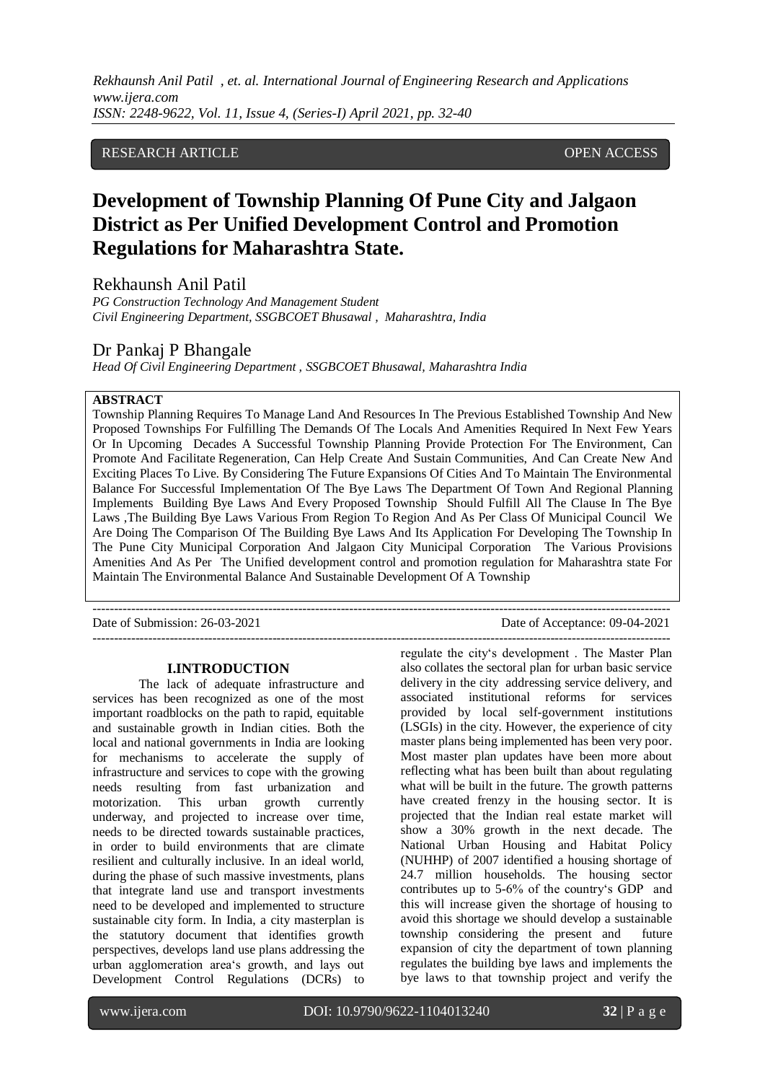### RESEARCH ARTICLE OPEN ACCESS

# **Development of Township Planning Of Pune City and Jalgaon District as Per Unified Development Control and Promotion Regulations for Maharashtra State.**

Rekhaunsh Anil Patil

*PG Construction Technology And Management Student Civil Engineering Department, SSGBCOET Bhusawal , Maharashtra, India* 

## Dr Pankaj P Bhangale

*Head Of Civil Engineering Department , SSGBCOET Bhusawal, Maharashtra India*

### **ABSTRACT**

Township Planning Requires To Manage Land And Resources In The Previous Established Township And New Proposed Townships For Fulfilling The Demands Of The Locals And Amenities Required In Next Few Years Or In Upcoming Decades A Successful Township Planning Provide Protection For The Environment, Can Promote And Facilitate Regeneration, Can Help Create And Sustain Communities, And Can Create New And Exciting Places To Live. By Considering The Future Expansions Of Cities And To Maintain The Environmental Balance For Successful Implementation Of The Bye Laws The Department Of Town And Regional Planning Implements Building Bye Laws And Every Proposed Township Should Fulfill All The Clause In The Bye Laws ,The Building Bye Laws Various From Region To Region And As Per Class Of Municipal Council We Are Doing The Comparison Of The Building Bye Laws And Its Application For Developing The Township In The Pune City Municipal Corporation And Jalgaon City Municipal Corporation The Various Provisions Amenities And As Per The Unified development control and promotion regulation for Maharashtra state For Maintain The Environmental Balance And Sustainable Development Of A Township

---------------------------------------------------------------------------------------------------------------------------------------

Date of Submission: 26-03-2021 Date of Acceptance: 09-04-2021 ---------------------------------------------------------------------------------------------------------------------------------------

### **I.INTRODUCTION**

The lack of adequate infrastructure and services has been recognized as one of the most important roadblocks on the path to rapid, equitable and sustainable growth in Indian cities. Both the local and national governments in India are looking for mechanisms to accelerate the supply of infrastructure and services to cope with the growing needs resulting from fast urbanization and motorization. This urban growth currently underway, and projected to increase over time, needs to be directed towards sustainable practices, in order to build environments that are climate resilient and culturally inclusive. In an ideal world, during the phase of such massive investments, plans that integrate land use and transport investments need to be developed and implemented to structure sustainable city form. In India, a city masterplan is the statutory document that identifies growth perspectives, develops land use plans addressing the urban agglomeration area's growth, and lays out Development Control Regulations (DCRs) to

regulate the city's development . The Master Plan also collates the sectoral plan for urban basic service delivery in the city addressing service delivery, and associated institutional reforms for services provided by local self-government institutions (LSGIs) in the city. However, the experience of city master plans being implemented has been very poor. Most master plan updates have been more about reflecting what has been built than about regulating what will be built in the future. The growth patterns have created frenzy in the housing sector. It is projected that the Indian real estate market will show a 30% growth in the next decade. The National Urban Housing and Habitat Policy (NUHHP) of 2007 identified a housing shortage of 24.7 million households. The housing sector contributes up to 5-6% of the country's GDP and this will increase given the shortage of housing to avoid this shortage we should develop a sustainable township considering the present and future expansion of city the department of town planning regulates the building bye laws and implements the bye laws to that township project and verify the

l

www.ijera.com DOI: 10.9790/9622-1104013240 **32** | P a g e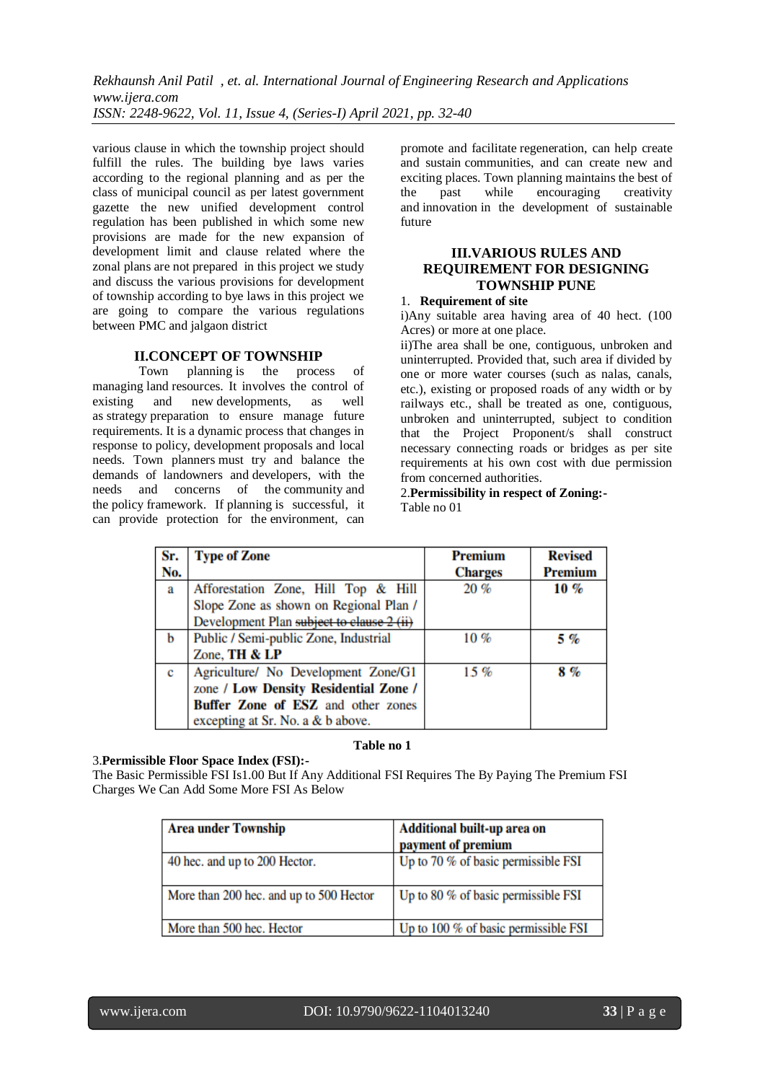various clause in which the township project should fulfill the rules. The building bye laws varies according to the regional planning and as per the class of municipal council as per latest government gazette the new unified development control regulation has been published in which some new provisions are made for the new expansion of development limit and clause related where the zonal plans are not prepared in this project we study and discuss the various provisions for development of township according to bye laws in this project we are going to compare the various regulations between PMC and jalgaon district

### **II.CONCEPT OF TOWNSHIP**

Town planning is the process of managing land resources. It involves the control of existing and new developments, as well as strategy preparation to ensure manage future requirements. It is a dynamic process that changes in response to policy, development proposals and local needs. Town planners must try and balance the demands of landowners and developers, with the needs and concerns of the community and the policy framework. If planning is successful, it can provide protection for the environment, can

promote and facilitate regeneration, can help create and sustain communities, and can create new and exciting places. Town planning maintains the best of the past while encouraging creativity and innovation in the development of sustainable future

## **III.VARIOUS RULES AND REQUIREMENT FOR DESIGNING TOWNSHIP PUNE**

## 1. **Requirement of site**

i)Any suitable area having area of 40 hect. (100 Acres) or more at one place.

ii)The area shall be one, contiguous, unbroken and uninterrupted. Provided that, such area if divided by one or more water courses (such as nalas, canals, etc.), existing or proposed roads of any width or by railways etc., shall be treated as one, contiguous, unbroken and uninterrupted, subject to condition that the Project Proponent/s shall construct necessary connecting roads or bridges as per site requirements at his own cost with due permission from concerned authorities.

### 2.**Permissibility in respect of Zoning:-** Table no 01

| Sr. | <b>Type of Zone</b>                       | <b>Premium</b> | <b>Revised</b> |
|-----|-------------------------------------------|----------------|----------------|
| No. |                                           | <b>Charges</b> | <b>Premium</b> |
| a   | Afforestation Zone, Hill Top & Hill       | 20%            | $10 \%$        |
|     | Slope Zone as shown on Regional Plan /    |                |                |
|     | Development Plan subject to clause 2 (ii) |                |                |
| h   | Public / Semi-public Zone, Industrial     | 10%            | 5 %            |
|     | Zone, TH & LP                             |                |                |
| c   | Agriculture/ No Development Zone/G1       | 15%            | 8%             |
|     | zone / Low Density Residential Zone /     |                |                |
|     | <b>Buffer Zone of ESZ</b> and other zones |                |                |
|     | excepting at Sr. No. a & b above.         |                |                |

#### **Table no 1**

### 3.**Permissible Floor Space Index (FSI):-**

The Basic Permissible FSI Is1.00 But If Any Additional FSI Requires The By Paying The Premium FSI Charges We Can Add Some More FSI As Below

| <b>Area under Township</b>              | Additional built-up area on<br>payment of premium |
|-----------------------------------------|---------------------------------------------------|
| 40 hec. and up to 200 Hector.           | Up to 70 % of basic permissible FSI               |
| More than 200 hec. and up to 500 Hector | Up to 80 % of basic permissible FSI               |
| More than 500 hec. Hector               | Up to 100 % of basic permissible FSI              |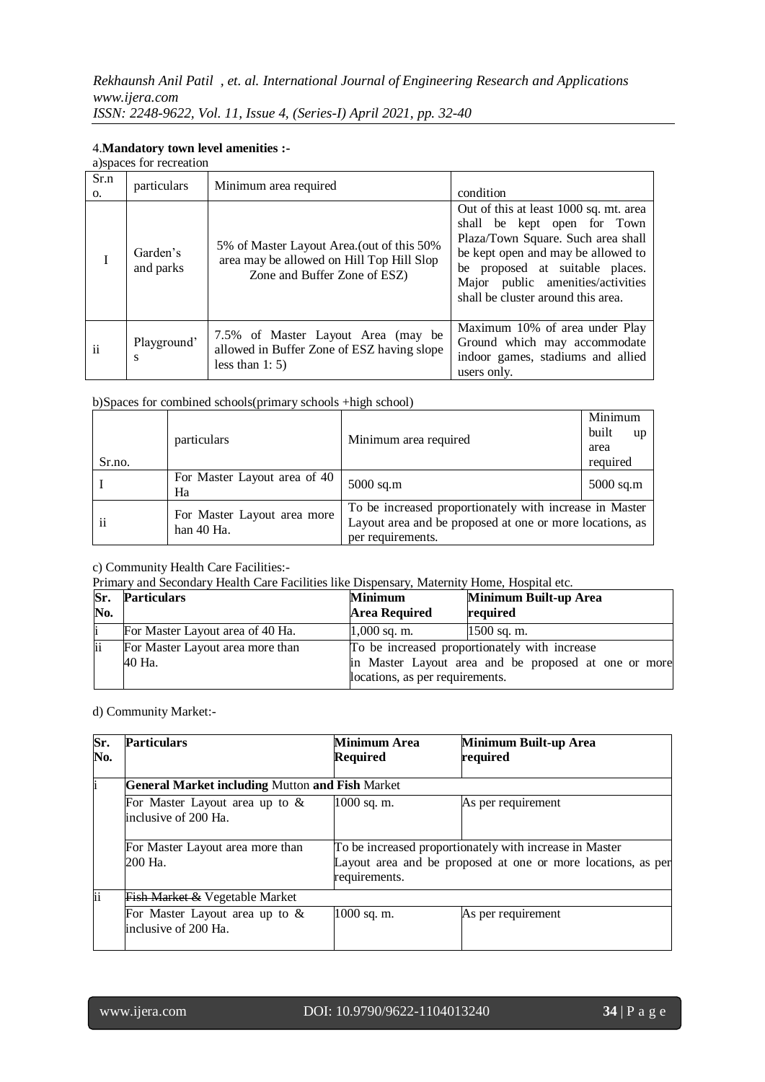### 4.**Mandatory town level amenities :-**

|      | a) spaces for recreation |                       |
|------|--------------------------|-----------------------|
| Sr.n | particulars              | Minimum area required |

| <b>DI.IL</b><br>O. | particulars           | Minimum area required                                                                                                   | condition                                                                                                                                                                                                                                                       |
|--------------------|-----------------------|-------------------------------------------------------------------------------------------------------------------------|-----------------------------------------------------------------------------------------------------------------------------------------------------------------------------------------------------------------------------------------------------------------|
|                    | Garden's<br>and parks | 5% of Master Layout Area. (out of this 50%<br>area may be allowed on Hill Top Hill Slop<br>Zone and Buffer Zone of ESZ) | Out of this at least 1000 sq. mt. area<br>shall be kept open for Town<br>Plaza/Town Square. Such area shall<br>be kept open and may be allowed to<br>be proposed at suitable places.<br>Major public amenities/activities<br>shall be cluster around this area. |
| $\mathbf{ii}$      | Playground'<br>s      | 7.5% of Master Layout Area (may be<br>allowed in Buffer Zone of ESZ having slope<br>less than $1: 5$ )                  | Maximum 10% of area under Play<br>Ground which may accommodate<br>indoor games, stadiums and allied<br>users only.                                                                                                                                              |

┑

b)Spaces for combined schools(primary schools +high school)

| Sr.no.        | particulars                                 | Minimum area required                                                                                                                    | Minimum<br>built<br><b>up</b><br>area<br>required |
|---------------|---------------------------------------------|------------------------------------------------------------------------------------------------------------------------------------------|---------------------------------------------------|
|               | For Master Layout area of 40<br>Ha          | 5000 sq.m                                                                                                                                | $5000$ sq.m                                       |
| $\mathbf{ii}$ | For Master Layout area more<br>han $40$ Ha. | To be increased proportionately with increase in Master<br>Layout area and be proposed at one or more locations, as<br>per requirements. |                                                   |

c) Community Health Care Facilities:-

Primary and Secondary Health Care Facilities like Dispensary, Maternity Home, Hospital etc.

| Sr.<br>No. | <b>Particulars</b>               | <b>Minimum</b><br><b>Area Required</b> | Minimum Built-up Area<br>required                    |
|------------|----------------------------------|----------------------------------------|------------------------------------------------------|
|            | For Master Layout area of 40 Ha. | $1,000$ sq. m.                         | $1500$ sq. m.                                        |
| ii         | For Master Layout area more than |                                        | To be increased proportionately with increase        |
|            | 40 Ha.                           |                                        | in Master Layout area and be proposed at one or more |
|            |                                  | locations, as per requirements.        |                                                      |

d) Community Market:-

| Sr.<br>No. | <b>Particulars</b>                                       | <b>Minimum Area</b><br><b>Required</b> | Minimum Built-up Area<br>required                                                                                       |
|------------|----------------------------------------------------------|----------------------------------------|-------------------------------------------------------------------------------------------------------------------------|
|            | <b>General Market including Mutton and Fish Market</b>   |                                        |                                                                                                                         |
|            | For Master Layout area up to $&$<br>inclusive of 200 Ha. | 1000 sq. m.                            | As per requirement                                                                                                      |
|            | For Master Layout area more than<br>200 Ha.              | requirements.                          | To be increased proportionately with increase in Master<br>Layout area and be proposed at one or more locations, as per |
| ii         | <b>Fish Market &amp; Vegetable Market</b>                |                                        |                                                                                                                         |
|            | For Master Layout area up to $&$<br>inclusive of 200 Ha. | $1000$ sq. m.                          | As per requirement                                                                                                      |

l

٦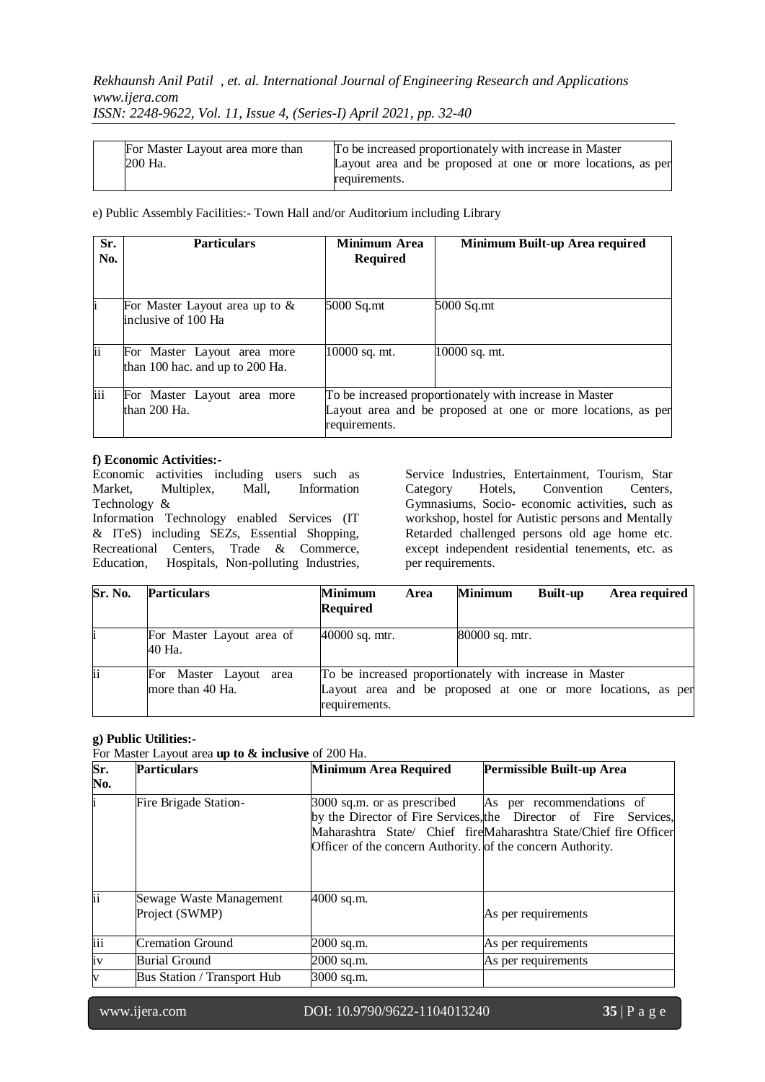## *Rekhaunsh Anil Patil , et. al. International Journal of Engineering Research and Applications www.ijera.com*

*ISSN: 2248-9622, Vol. 11, Issue 4, (Series-I) April 2021, pp. 32-40*

| For Master Layout area more than<br>200 Ha. | To be increased proportionately with increase in Master<br>Layout area and be proposed at one or more locations, as per |
|---------------------------------------------|-------------------------------------------------------------------------------------------------------------------------|
|                                             | requirements.                                                                                                           |

e) Public Assembly Facilities:- Town Hall and/or Auditorium including Library

| Sr.<br>No. | <b>Particulars</b>                                             | Minimum Area<br><b>Required</b> | Minimum Built-up Area required                                                                                          |
|------------|----------------------------------------------------------------|---------------------------------|-------------------------------------------------------------------------------------------------------------------------|
|            | For Master Layout area up to $&$<br>linclusive of 100 Ha       | 5000 Sq.mt                      | 5000 Sq.mt                                                                                                              |
| ii         | For Master Layout area more<br>than 100 hac. and up to 200 Ha. | 10000 sq. mt.                   | 10000 sq. mt.                                                                                                           |
| iii        | For Master Layout area more<br>than $200$ Ha.                  | requirements.                   | To be increased proportionately with increase in Master<br>Layout area and be proposed at one or more locations, as per |

### **f) Economic Activities:-**

Economic activities including users such as Market, Multiplex, Mall, Information Technology &

Information Technology enabled Services (IT & ITeS) including SEZs, Essential Shopping, Recreational Centers, Trade & Commerce, Education, Hospitals, Non-polluting Industries, Service Industries, Entertainment, Tourism, Star Category Hotels, Convention Centers, Gymnasiums, Socio- economic activities, such as workshop, hostel for Autistic persons and Mentally Retarded challenged persons old age home etc. except independent residential tenements, etc. as per requirements.

| Sr. No. | <b>Particulars</b>                         | <b>Minimum</b><br>Area<br><b>Required</b> | <b>Minimum</b><br>Area required<br><b>Built-up</b>                                                                      |
|---------|--------------------------------------------|-------------------------------------------|-------------------------------------------------------------------------------------------------------------------------|
|         | For Master Layout area of<br>40 Ha.        | 40000 sq. mtr.                            | 80000 sq. mtr.                                                                                                          |
| ii      | For Master Layout area<br>more than 40 Ha. | requirements.                             | To be increased proportionately with increase in Master<br>Layout area and be proposed at one or more locations, as per |

## **g) Public Utilities:-**

For Master Layout area **up to & inclusive** of 200 Ha.

| Sr.<br>No. | <b>Particulars</b>                        | <b>Minimum Area Required</b>                                                               | Permissible Built-up Area                                                                                                                                          |
|------------|-------------------------------------------|--------------------------------------------------------------------------------------------|--------------------------------------------------------------------------------------------------------------------------------------------------------------------|
| i.         | Fire Brigade Station-                     | 3000 sq.m. or as prescribed<br>Officer of the concern Authority. of the concern Authority. | As per recommendations of<br>by the Director of Fire Services, the Director of Fire Services,<br>Maharashtra State/ Chief fireMaharashtra State/Chief fire Officer |
| ii         | Sewage Waste Management<br>Project (SWMP) | 4000 sq.m.                                                                                 | As per requirements                                                                                                                                                |
| iii        | <b>Cremation Ground</b>                   | 2000 sq.m.                                                                                 | As per requirements                                                                                                                                                |
| iv         | <b>Burial Ground</b>                      | 2000 sq.m.                                                                                 | As per requirements                                                                                                                                                |
| V          | <b>Bus Station / Transport Hub</b>        | 3000 sq.m.                                                                                 |                                                                                                                                                                    |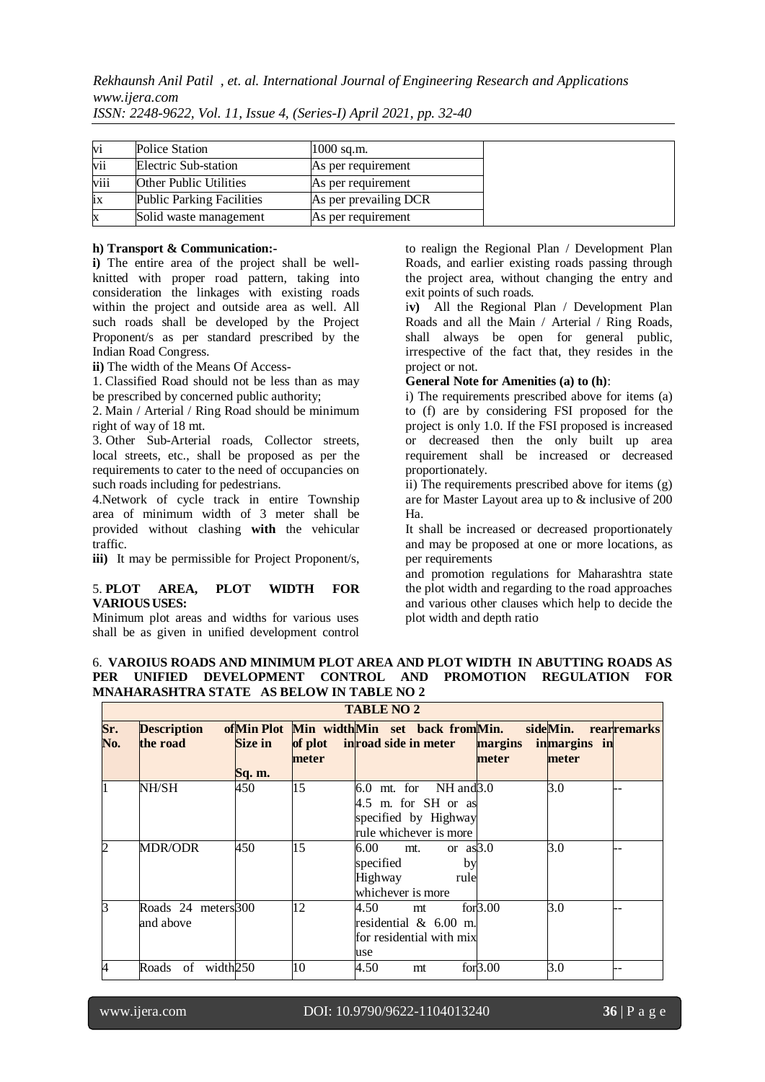*Rekhaunsh Anil Patil , et. al. International Journal of Engineering Research and Applications www.ijera.com*

| V1   | Police Station                   | $1000$ sq.m.          |
|------|----------------------------------|-----------------------|
| vii  | Electric Sub-station             | As per requirement    |
| viii | <b>Other Public Utilities</b>    | As per requirement    |
| ix   | <b>Public Parking Facilities</b> | As per prevailing DCR |
| X    | Solid waste management           | As per requirement    |

*ISSN: 2248-9622, Vol. 11, Issue 4, (Series-I) April 2021, pp. 32-40*

### **h) Transport & Communication:-**

**i)** The entire area of the project shall be wellknitted with proper road pattern, taking into consideration the linkages with existing roads within the project and outside area as well. All such roads shall be developed by the Project Proponent/s as per standard prescribed by the Indian Road Congress.

**ii)** The width of the Means Of Access-

1. Classified Road should not be less than as may be prescribed by concerned public authority;

2. Main / Arterial / Ring Road should be minimum right of way of 18 mt.

3. Other Sub-Arterial roads, Collector streets, local streets, etc., shall be proposed as per the requirements to cater to the need of occupancies on such roads including for pedestrians.

4.Network of cycle track in entire Township area of minimum width of 3 meter shall be provided without clashing **with** the vehicular traffic.

**iii)** It may be permissible for Project Proponent/s,

### 5. **PLOT AREA, PLOT WIDTH FOR VARIOUSUSES:**

Minimum plot areas and widths for various uses shall be as given in unified development control to realign the Regional Plan / Development Plan Roads, and earlier existing roads passing through the project area, without changing the entry and exit points of such roads.

i**v)** All the Regional Plan / Development Plan Roads and all the Main / Arterial / Ring Roads, shall always be open for general public, irrespective of the fact that, they resides in the project or not.

### **General Note for Amenities (a) to (h)**:

i) The requirements prescribed above for items (a) to (f) are by considering FSI proposed for the project is only 1.0. If the FSI proposed is increased or decreased then the only built up area requirement shall be increased or decreased proportionately.

ii) The requirements prescribed above for items (g) are for Master Layout area up to & inclusive of 200 Ha.

It shall be increased or decreased proportionately and may be proposed at one or more locations, as per requirements

and promotion regulations for Maharashtra state the plot width and regarding to the road approaches and various other clauses which help to decide the plot width and depth ratio

### 6. **VAROIUS ROADS AND MINIMUM PLOT AREA AND PLOT WIDTH IN ABUTTING ROADS AS PER UNIFIED DEVELOPMENT CONTROL AND PROMOTION REGULATION FOR MNAHARASHTRA STATE AS BELOW IN TABLE NO 2**

**TABLE NO 2**

| TABLE NO 2     |                                     |                          |       |                                                                                                     |                  |                                   |                    |
|----------------|-------------------------------------|--------------------------|-------|-----------------------------------------------------------------------------------------------------|------------------|-----------------------------------|--------------------|
| Sr.<br>No.     | <b>Description</b><br>the road      | <b>Size in</b><br>Sq. m. | meter | of Min Plot Min width Min set back from Min.<br>of plot in road side in meter                       | margins<br>meter | sideMin.<br>inmargins in<br>meter | <b>rearremarks</b> |
| I1             | NH/SH                               | 450                      | 15    | $6.0$ mt. for NH and $3.0$<br>4.5 m. for SH or as<br>specified by Highway<br>rule whichever is more |                  | 3.0                               |                    |
| $\overline{2}$ | <b>MDR/ODR</b>                      | 450                      | 15    | or $as3.0$<br>6.00-<br>mt.<br>specified<br>by<br>Highway<br>rule<br>whichever is more               |                  | 3.0                               |                    |
| 3              | Roads 24 meters 300<br>and above    |                          | 12    | 4.50<br>mt<br>residential $\&$ 6.00 m.<br>for residential with mix<br>use                           | for 3.00         | 3.0                               |                    |
| $\overline{A}$ | width <sub>250</sub><br>Roads<br>of |                          | 10    | 4.50<br>mt                                                                                          | for 3.00         | 3.0                               |                    |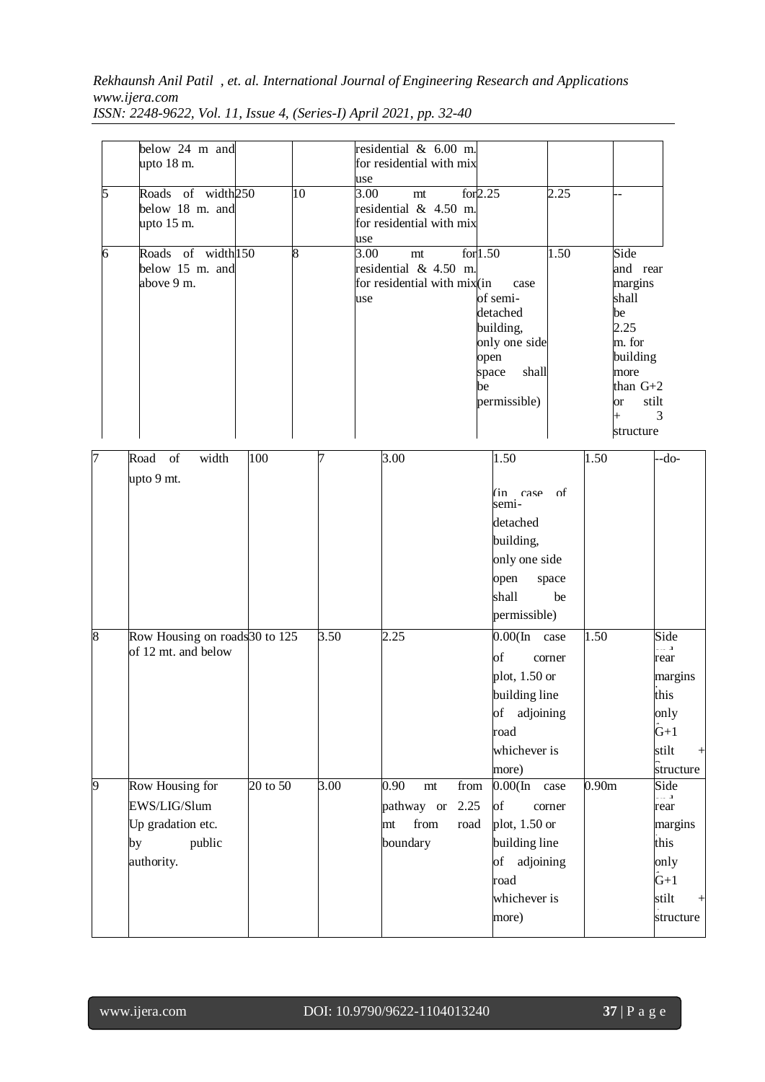## *Rekhaunsh Anil Patil , et. al. International Journal of Engineering Research and Applications www.ijera.com*

| 5<br>6 | below 24 m and<br>upto 18 m.<br>Roads of width250<br>below 18 m. and<br>upto $15 \text{ m}$ .<br>Roads of width <sup>150</sup><br>below 15 m. and<br>above 9 m. | $\overline{10}$<br>$\overline{8}$ |      | residential & 6.00 m.<br>for residential with mix<br>use<br>3.00<br>for 2.25<br>m t<br>residential & 4.50 m.<br>for residential with mix<br>use<br>3.00<br>m t<br>residential & 4.50 m.<br>for residential with mix(in<br>use | 2.25<br>for $1.50$<br>1.50<br>case<br>of semi-<br>detached<br>building,<br>only one side<br>open<br>shall<br>space<br>be<br>permissible) | Side<br>and rear<br>margins<br>shall<br>be<br>2.25<br>m. for<br>building<br>more<br>than $G+2$<br>or<br>$\ddot{}$ | stilt<br>3                                                                             |
|--------|-----------------------------------------------------------------------------------------------------------------------------------------------------------------|-----------------------------------|------|-------------------------------------------------------------------------------------------------------------------------------------------------------------------------------------------------------------------------------|------------------------------------------------------------------------------------------------------------------------------------------|-------------------------------------------------------------------------------------------------------------------|----------------------------------------------------------------------------------------|
| 7      | width<br>of<br>Road                                                                                                                                             | 100                               |      | 3.00                                                                                                                                                                                                                          | 1.50                                                                                                                                     | structure<br>1.50                                                                                                 | -do-                                                                                   |
|        | upto 9 mt.                                                                                                                                                      |                                   |      |                                                                                                                                                                                                                               | (in case of<br>semi-<br>detached<br>building,<br>only one side<br>space<br>open<br>shall<br>be<br>permissible)                           |                                                                                                                   |                                                                                        |
| 8      | Row Housing on roads 30 to 125<br>of 12 mt. and below                                                                                                           |                                   | 3.50 | 2.25                                                                                                                                                                                                                          | $0.00$ (In case<br>of<br>corner<br>plot, $1.50$ or<br>building line<br>of adjoining<br>road<br>whichever is<br>more)                     | 1.50                                                                                                              | Side<br>rear<br>margins<br>this<br>only<br>$\hat{G}+1$<br>stilt<br>$^{+}$<br>structure |
| 9      | Row Housing for<br>EWS/LIG/Slum<br>Up gradation etc.<br>public<br>by<br>authority.                                                                              | 20 to 50                          | 3.00 | $0.90\,$<br>from<br>mt<br>pathway or<br>2.25<br>from<br>road<br>mt<br>boundary                                                                                                                                                | $0.00$ (In<br>case<br>of<br>corner<br>plot, $1.50$ or<br>building line<br>of adjoining<br>road<br>whichever is<br>more)                  | 0.90 <sub>m</sub>                                                                                                 | Side<br>rear<br>margins<br>this<br>only<br>$\hat{G}+1$<br>stilt<br>structure           |

*ISSN: 2248-9622, Vol. 11, Issue 4, (Series-I) April 2021, pp. 32-40*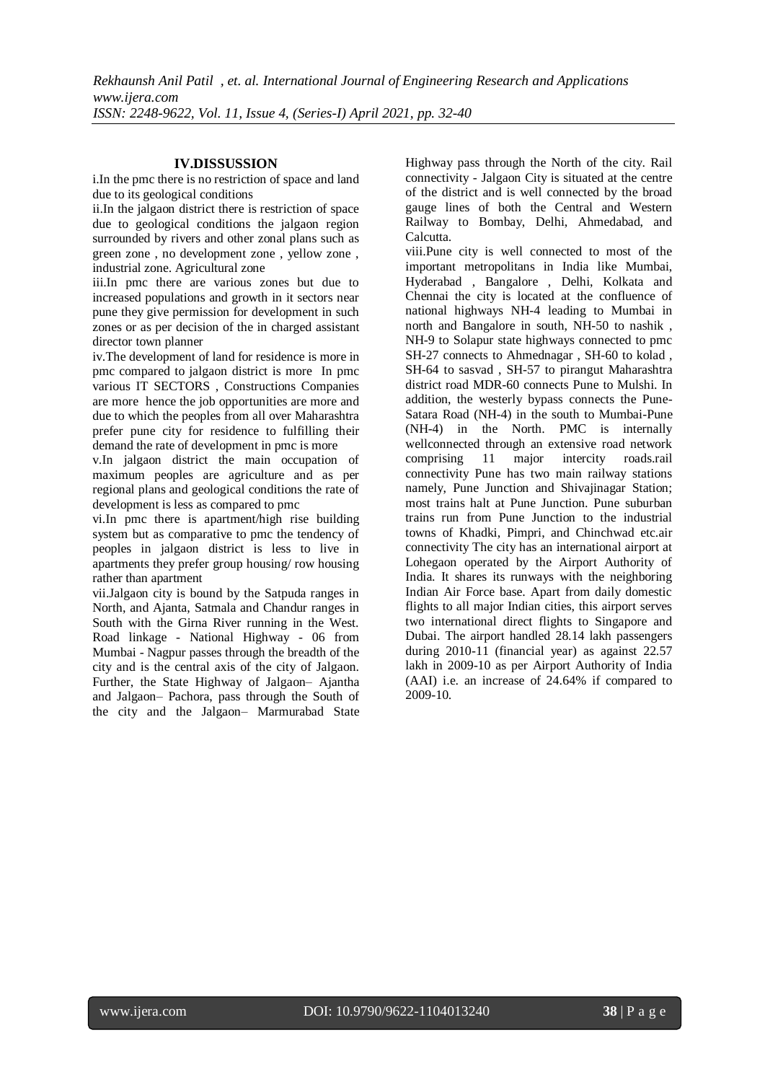### **IV.DISSUSSION**

i.In the pmc there is no restriction of space and land due to its geological conditions

ii.In the jalgaon district there is restriction of space due to geological conditions the jalgaon region surrounded by rivers and other zonal plans such as green zone , no development zone , yellow zone , industrial zone. Agricultural zone

iii.In pmc there are various zones but due to increased populations and growth in it sectors near pune they give permission for development in such zones or as per decision of the in charged assistant director town planner

iv.The development of land for residence is more in pmc compared to jalgaon district is more In pmc various IT SECTORS , Constructions Companies are more hence the job opportunities are more and due to which the peoples from all over Maharashtra prefer pune city for residence to fulfilling their demand the rate of development in pmc is more

v.In jalgaon district the main occupation of maximum peoples are agriculture and as per regional plans and geological conditions the rate of development is less as compared to pmc

vi.In pmc there is apartment/high rise building system but as comparative to pmc the tendency of peoples in jalgaon district is less to live in apartments they prefer group housing/ row housing rather than apartment

vii.Jalgaon city is bound by the Satpuda ranges in North, and Ajanta, Satmala and Chandur ranges in South with the Girna River running in the West. Road linkage - National Highway - 06 from Mumbai - Nagpur passes through the breadth of the city and is the central axis of the city of Jalgaon. Further, the State Highway of Jalgaon– Ajantha and Jalgaon– Pachora, pass through the South of the city and the Jalgaon– Marmurabad State Highway pass through the North of the city. Rail connectivity - Jalgaon City is situated at the centre of the district and is well connected by the broad gauge lines of both the Central and Western Railway to Bombay, Delhi, Ahmedabad, and Calcutta.

viii.Pune city is well connected to most of the important metropolitans in India like Mumbai, Hyderabad , Bangalore , Delhi, Kolkata and Chennai the city is located at the confluence of national highways NH-4 leading to Mumbai in north and Bangalore in south, NH-50 to nashik , NH-9 to Solapur state highways connected to pmc SH-27 connects to Ahmednagar , SH-60 to kolad , SH-64 to sasvad , SH-57 to pirangut Maharashtra district road MDR-60 connects Pune to Mulshi. In addition, the westerly bypass connects the Pune-Satara Road (NH-4) in the south to Mumbai-Pune (NH-4) in the North. PMC is internally wellconnected through an extensive road network comprising 11 major intercity roads.rail connectivity Pune has two main railway stations namely, Pune Junction and Shivajinagar Station; most trains halt at Pune Junction. Pune suburban trains run from Pune Junction to the industrial towns of Khadki, Pimpri, and Chinchwad etc.air connectivity The city has an international airport at Lohegaon operated by the Airport Authority of India. It shares its runways with the neighboring Indian Air Force base. Apart from daily domestic flights to all major Indian cities, this airport serves two international direct flights to Singapore and Dubai. The airport handled 28.14 lakh passengers during 2010-11 (financial year) as against 22.57 lakh in 2009-10 as per Airport Authority of India (AAI) i.e. an increase of 24.64% if compared to 2009-10.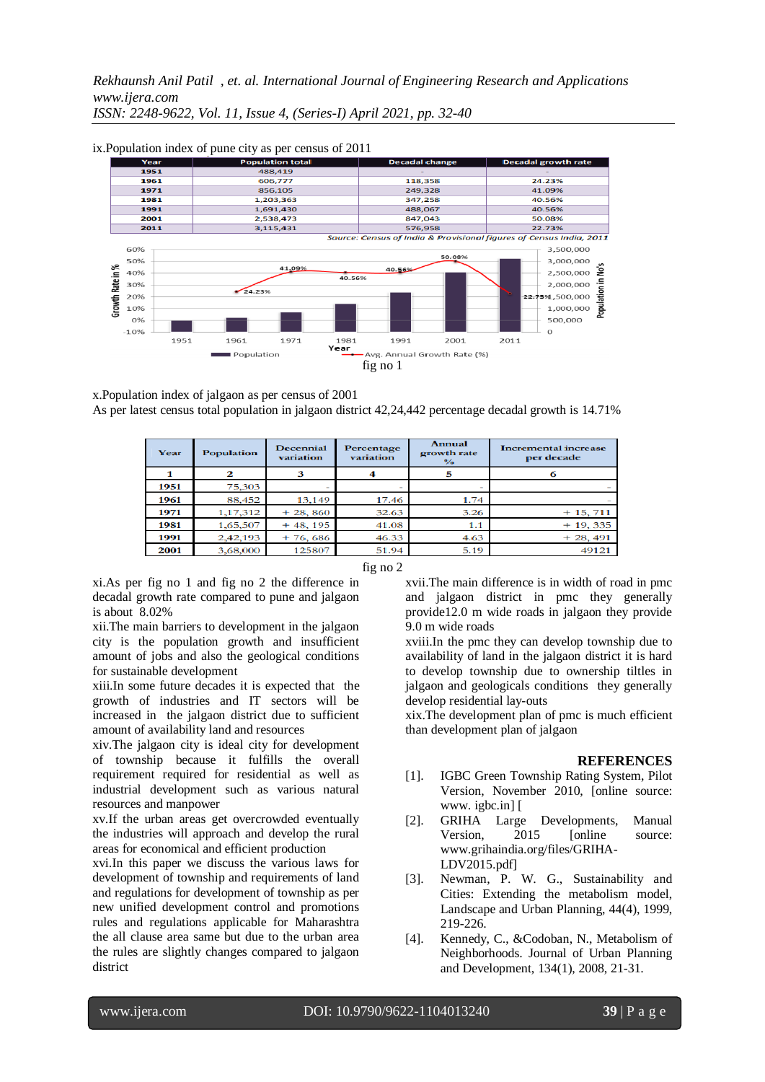

x.Population index of jalgaon as per census of 2001 As per latest census total population in jalgaon district 42,24,442 percentage decadal growth is 14.71%

| Year | <b>Population</b> | <b>Decennial</b><br>variation | <b>Annual</b><br>Percentage<br>growth rate<br>variation<br>$\frac{6}{6}$ |      | <b>Incremental increase</b><br>per decade |  |
|------|-------------------|-------------------------------|--------------------------------------------------------------------------|------|-------------------------------------------|--|
|      |                   |                               |                                                                          | 5    |                                           |  |
| 1951 | 75,303            |                               |                                                                          |      |                                           |  |
| 1961 | 88,452            | 13,149                        | 17.46                                                                    | 1.74 |                                           |  |
| 1971 | 1, 17, 312        | $+28,860$                     | 32.63                                                                    | 3.26 | $+15,711$                                 |  |
| 1981 | 1,65,507          | $+48, 195$                    | 41.08                                                                    | 1.1  | $+19,335$                                 |  |
| 1991 | 2,42,193          | $+76,686$                     | 46.33                                                                    | 4.63 | $+28,491$                                 |  |
| 2001 | 3,68,000          | 125807                        | 51.94                                                                    | 5.19 | 49121                                     |  |

fig no 2

xi.As per fig no 1 and fig no 2 the difference in decadal growth rate compared to pune and jalgaon is about 8.02%

xii.The main barriers to development in the jalgaon city is the population growth and insufficient amount of jobs and also the geological conditions for sustainable development

xiii.In some future decades it is expected that the growth of industries and IT sectors will be increased in the jalgaon district due to sufficient amount of availability land and resources

xiv.The jalgaon city is ideal city for development of township because it fulfills the overall requirement required for residential as well as industrial development such as various natural resources and manpower

xv.If the urban areas get overcrowded eventually the industries will approach and develop the rural areas for economical and efficient production

xvi.In this paper we discuss the various laws for development of township and requirements of land and regulations for development of township as per new unified development control and promotions rules and regulations applicable for Maharashtra the all clause area same but due to the urban area the rules are slightly changes compared to jalgaon district

xvii.The main difference is in width of road in pmc and jalgaon district in pmc they generally provide12.0 m wide roads in jalgaon they provide 9.0 m wide roads

xviii.In the pmc they can develop township due to availability of land in the jalgaon district it is hard to develop township due to ownership tiltles in jalgaon and geologicals conditions they generally develop residential lay-outs

xix.The development plan of pmc is much efficient than development plan of jalgaon

### **REFERENCES**

- [1]. IGBC Green Township Rating System, Pilot Version, November 2010, [online source: www. igbc.in] [
- [2]. GRIHA Large Developments, Manual Version, 2015 [online source: www.grihaindia.org/files/GRIHA-LDV2015.pdf]
- [3]. Newman, P. W. G., Sustainability and Cities: Extending the metabolism model, Landscape and Urban Planning, 44(4), 1999, 219-226.
- [4]. Kennedy, C., &Codoban, N., Metabolism of Neighborhoods. Journal of Urban Planning and Development, 134(1), 2008, 21-31.